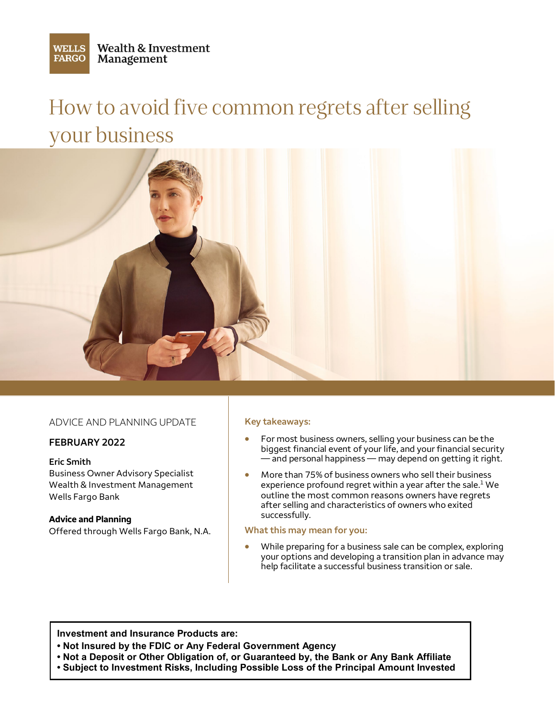**WELLS FARGO** 

# How to avoid five common regrets after selling your business



### ADVICE AND PLANNING UPDATE

#### **FEBRUARY 2022**

#### **Eric Smith**

Business Owner Advisory Specialist Wealth & Investment Management Wells Fargo Bank

#### **Advice and Planning**

Offered through Wells Fargo Bank, N.A.

#### **Key takeaways:**

- For most business owners, selling your business can be the biggest financial event of your life, and your financial security  $-$  and personal happiness — may depend on getting it right.
- More than 75% of business owners who sell their business experience profound regret within a year after the sale. [1](#page-1-0) We outline the most common reasons owners have regrets after selling and characteristics of owners who exited successfully.

#### **What this may mean for you:**

• While preparing for a business sale can be complex, exploring your options and developing a transition plan in advance may help facilitate a successful business transition or sale.

**Investment and Insurance Products are:**

- **• Not Insured by the FDIC or Any Federal Government Agency**
- **Not a Deposit or Other Obligation of, or Guaranteed by, the Bank or Any Bank Affiliate •**
- **Subject to Investment Risks, Including Possible Loss of the Principal Amount Invested**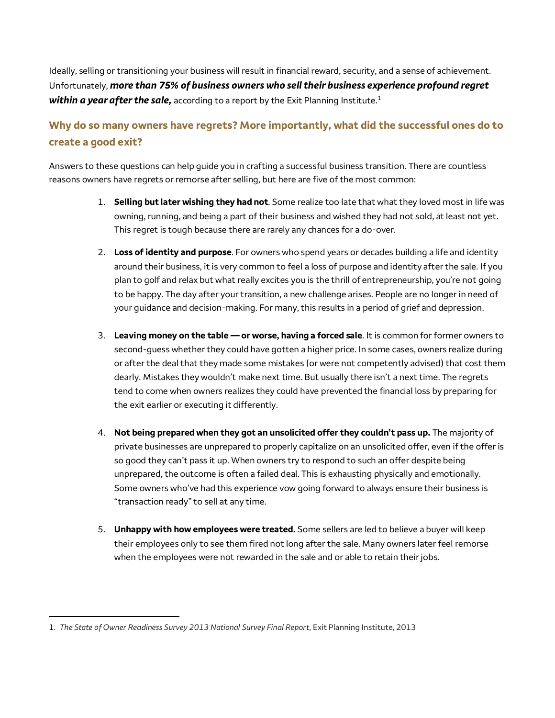<span id="page-1-0"></span>Ideally, selling or transitioning your business will result in financial reward, security, and a sense of achievement. Unfortunately, *more than 75% of business owners who sell their business experience profound regret within a year after the sale,* according to a report by the Exit Planning Institute. [1](#page-1-1) 

# **Why do so many owners have regrets? More importantly, what did the successful ones do to create a good exit?**

Answers to these questions can help guide you in crafting a successful business transition. There are countless reasons owners have regrets or remorse after selling, but here are five of the most common:

- 1. **Selling but later wishing they had not**. Some realize too late that what they loved most in life was owning, running, and being a part of their business and wished they had not sold, at least not yet. This regret is tough because there are rarely any chances for a do-over.
- 2. **Loss of identity and purpose**. For owners who spend years or decades building a life and identity around their business, it is very common to feel a loss of purpose and identity after the sale. If you plan to golf and relax but what really excites you is the thrill of entrepreneurship, you're not going to be happy. The day after your transition, a new challenge arises. People are no longer in need of your guidance and decision-making. For many, this results in a period of grief and depression.
- 3. **Leaving money on the table or worse, having a forced sale**. It is common for former owners to second-guess whether they could have gotten a higher price. In some cases, owners realize during or after the deal that they made some mistakes (or were not competently advised) that cost them dearly. Mistakes they wouldn't make next time. But usually there isn't a next time. The regrets tend to come when owners realizes they could have prevented the financial loss by preparing for the exit earlier or executing it differently.
- 4. **Not being prepared when they got an unsolicited offer they couldn't pass up.** The majority of private businesses are unprepared to properly capitalize on an unsolicited offer, even if the offer is so good they can't pass it up. When owners try to respond to such an offer despite being unprepared, the outcome is often a failed deal. This is exhausting physically and emotionally. Some owners who've had this experience vow going forward to always ensure their business is "transaction ready" to sell at any time.
- 5. **Unhappy with how employees were treated.** Some sellers are led to believe a buyer will keep their employees only to see them fired not long after the sale. Many owners later feel remorse when the employees were not rewarded in the sale and or able to retain their jobs.

l

<span id="page-1-1"></span><sup>1.</sup> *The State of Owner Readiness Survey 2013 National Survey Final Report*, Exit Planning Institute, 2013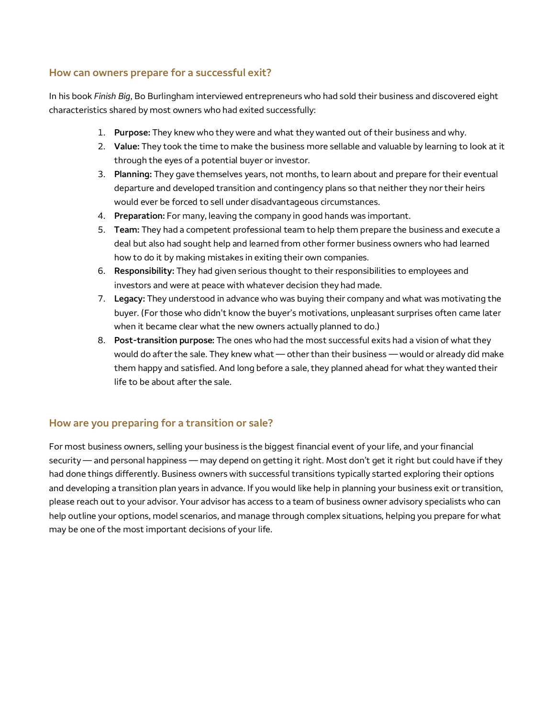## **How can owners prepare for a successful exit?**

In his book *Finish Big*, Bo Burlingham interviewed entrepreneurs who had sold their business and discovered eight characteristics shared by most owners who had exited successfully:

- 1. **Purpose:** They knew who they were and what they wanted out of their business and why.
- 2. **Value:** They took the time to make the business more sellable and valuable by learning to look at it through the eyes of a potential buyer or investor.
- 3. **Planning:** They gave themselves years, not months, to learn about and prepare for their eventual departure and developed transition and contingency plans so that neither they nor their heirs would ever be forced to sell under disadvantageous circumstances.
- 4. **Preparation:** For many, leaving the company in good hands was important.
- 5. **Team:** They had a competent professional team to help them prepare the business and execute a deal but also had sought help and learned from other former business owners who had learned how to do it by making mistakes in exiting their own companies.
- 6. **Responsibility:** They had given serious thought to their responsibilities to employees and investors and were at peace with whatever decision they had made.
- 7. **Legacy:** They understood in advance who was buying their company and what was motivating the buyer. (For those who didn't know the buyer's motivations, unpleasant surprises often came later when it became clear what the new owners actually planned to do.)
- 8. **Post-transition purpose:** The ones who had the most successful exits had a vision of what they would do after the sale. They knew what — other than their business — would or already did make them happy and satisfied. And long before a sale, they planned ahead for what they wanted their life to be about after the sale.

# **How are you preparing for a transition or sale?**

For most business owners, selling your business is the biggest financial event of your life, and your financial security — and personal happiness — may depend on getting it right. Most don't get it right but could have if they had done things differently. Business owners with successful transitions typically started exploring their options and developing a transition plan years in advance. If you would like help in planning your business exit or transition, please reach out to your advisor. Your advisor has access to a team of business owner advisory specialists who can help outline your options, model scenarios, and manage through complex situations, helping you prepare for what may be one of the most important decisions of your life.